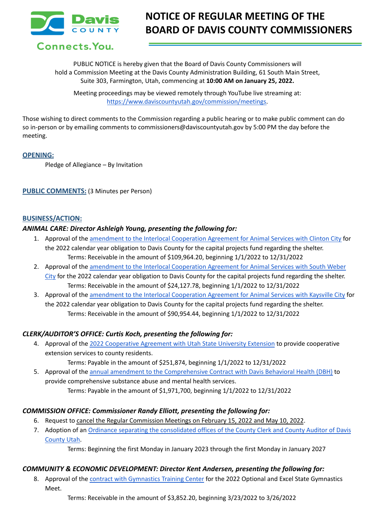

# **NOTICE OF REGULAR MEETING OF THE BOARD OF DAVIS COUNTY COMMISSIONERS**

Connects. You.

PUBLIC NOTICE is hereby given that the Board of Davis County Commissioners will hold a Commission Meeting at the Davis County Administration Building, 61 South Main Street, Suite 303, Farmington, Utah, commencing at **10:00 AM on January 25, 2022.**

Meeting proceedings may be viewed remotely through YouTube live streaming at: [https://www.daviscountyutah.gov/commission/meetings.](https://www.daviscountyutah.gov/commission/meetings)

Those wishing to direct comments to the Commission regarding a public hearing or to make public comment can do so in-person or by emailing comments to commissioners@daviscountyutah.gov by 5:00 PM the day before the meeting.

## **OPENING:**

Pledge of Allegiance – By Invitation

## **PUBLIC COMMENTS:** (3 Minutes per Person)

#### **BUSINESS/ACTION:**

#### *ANIMAL CARE: Director Ashleigh Young, presenting the following for:*

- 1. Approval of the amendment to the Interlocal [Cooperation](https://drive.google.com/file/d/1YJIl8HeJE6Zvx0eahJhiYedgBz6rx7E0/view?usp=sharing) Agreement for Animal Services with Clinton City for the 2022 calendar year obligation to Davis County for the capital projects fund regarding the shelter. Terms: Receivable in the amount of \$109,964.20, beginning 1/1/2022 to 12/31/2022
- 2. Approval of the amendment to the Interlocal [Cooperation](https://drive.google.com/file/d/1qbUSreitfBtewDFRVrkZMac78_JoNgc1/view?usp=sharing) Agreement for Animal Services with South Weber [City](https://drive.google.com/file/d/1qbUSreitfBtewDFRVrkZMac78_JoNgc1/view?usp=sharing) for the 2022 calendar year obligation to Davis County for the capital projects fund regarding the shelter. Terms: Receivable in the amount of \$24,127.78, beginning 1/1/2022 to 12/31/2022
- 3. Approval of the amendment to the Interlocal [Cooperation](https://drive.google.com/file/d/1mLW8b9ybwU07tXXxLvTwUaiTpl8RHsjx/view?usp=sharing) Agreement for Animal Services with Kaysville City for the 2022 calendar year obligation to Davis County for the capital projects fund regarding the shelter. Terms: Receivable in the amount of \$90,954.44, beginning 1/1/2022 to 12/31/2022

## *CLERK/AUDITOR'S OFFICE: Curtis Koch, presenting the following for:*

4. Approval of the 2022 [Cooperative](https://drive.google.com/file/d/1JqEEUn-eGkpywnfVHBcPBuh3w7ckKZTY/view?usp=sharing) Agreement with Utah State University Extension to provide cooperative extension services to county residents.

Terms: Payable in the amount of \$251,874, beginning 1/1/2022 to 12/31/2022

5. Approval of the annual amendment to the [Comprehensive](https://drive.google.com/file/d/1vUUuoBrAwqjRtN7dP7P7-8PuyIcVyf2C/view?usp=sharing) Contract with Davis Behavioral Health (DBH) to provide comprehensive substance abuse and mental health services. Terms: Payable in the amount of \$1,971,700, beginning 1/1/2022 to 12/31/2022

## *COMMISSION OFFICE: Commissioner Randy Elliott, presenting the following for:*

- 6. Request to cancel the Regular Commission Meetings on February 15, 2022 and May 10, 2022.
- 7. Adoption of an Ordinance separating the [consolidated](https://drive.google.com/file/d/1Fmj3vs4QhWkcHX36q24_emNuKBmq_hsU/view?usp=sharing) offices of the County Clerk and County Auditor of Davis [County](https://drive.google.com/file/d/1Fmj3vs4QhWkcHX36q24_emNuKBmq_hsU/view?usp=sharing) Utah.

Terms: Beginning the first Monday in January 2023 through the first Monday in January 2027

## *COMMUNITY & ECONOMIC DEVELOPMENT: Director Kent Andersen, presenting the following for:*

8. Approval of the contract with [Gymnastics](https://drive.google.com/file/d/1YwyNW9lOeYmXoTCBLgwB0mAuHdQXLm7S/view?usp=sharing) Training Center for the 2022 Optional and Excel State Gymnastics Meet.

Terms: Receivable in the amount of \$3,852.20, beginning 3/23/2022 to 3/26/2022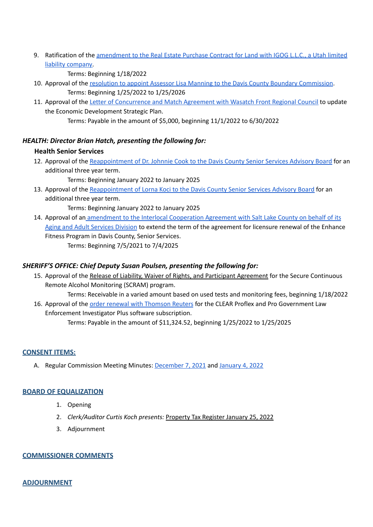9. Ratification of the [amendment](https://drive.google.com/file/d/1rd7snLgKcxN8JQeKjPwo3Y2o9Z1IhFwO/view?usp=sharing) to the Real Estate Purchase Contract for Land with IGOG L.L.C., a Utah limited liability [company.](https://drive.google.com/file/d/1rd7snLgKcxN8JQeKjPwo3Y2o9Z1IhFwO/view?usp=sharing)

Terms: Beginning 1/18/2022

- 10. Approval of the resolution to appoint Assessor Lisa Manning to the Davis County Boundary [Commission](https://docs.google.com/document/d/1WLs_syXkQoTnxhWC1toQaV6dIgA0_l4v/edit?usp=sharing&ouid=106668054259493981190&rtpof=true&sd=true). Terms: Beginning 1/25/2022 to 1/25/2026
- 11. Approval of the Letter of [Concurrence](https://drive.google.com/file/d/1bF79USVvqpYLIc5Kl57nTrhpZK4ZCe6x/view?usp=sharing) and Match Agreement with Wasatch Front Regional Council to update the Economic Development Strategic Plan.

Terms: Payable in the amount of \$5,000, beginning 11/1/2022 to 6/30/2022

# *HEALTH: Director Brian Hatch, presenting the following for:*

# **Health Senior Services**

- 12. Approval of the [Reappointment](https://drive.google.com/file/d/1_eO3x4a50fXvEt9tT2RDSKZGzK-Tmaga/view?usp=sharing) of Dr. Johnnie Cook to the Davis County Senior Services Advisory Board for an additional three year term.
	- Terms: Beginning January 2022 to January 2025
- 13. Approval of the [Reappointment](https://drive.google.com/file/d/1a8GFlwY-9O-3bFWBVBd6LEQx7Mm-MwIs/view?usp=sharing) of Lorna Koci to the Davis County Senior Services Advisory Board for an additional three year term.

Terms: Beginning January 2022 to January 2025

14. Approval of an amendment to the Interlocal [Cooperation](https://drive.google.com/file/d/1PY7wO6nOb1BGfKwpH7yg7NBuSg6BLkB3/view?usp=sharing) Agreement with Salt Lake County on behalf of its Aging and Adult [Services](https://drive.google.com/file/d/1PY7wO6nOb1BGfKwpH7yg7NBuSg6BLkB3/view?usp=sharing) Division to extend the term of the agreement for licensure renewal of the Enhance Fitness Program in Davis County, Senior Services. Terms: Beginning 7/5/2021 to 7/4/2025

# *SHERIFF'S OFFICE: Chief Deputy Susan Poulsen, presenting the following for:*

15. Approval of the Release of Liability, Waiver of Rights, and Participant Agreement for the Secure Continuous Remote Alcohol Monitoring (SCRAM) program.

Terms: Receivable in a varied amount based on used tests and monitoring fees, beginning 1/18/2022 16. Approval of the order renewal with [Thomson](https://drive.google.com/file/d/1rKX5qeutpC7Cog0P9mdCcI_XBNxJRfN0/view?usp=sharing) Reuters for the CLEAR Proflex and Pro Government Law Enforcement Investigator Plus software subscription.

Terms: Payable in the amount of \$11,324.52, beginning 1/25/2022 to 1/25/2025

# **CONSENT ITEMS:**

A. Regular Commission Meeting Minutes: [December](https://drive.google.com/file/d/1d8oWc2_efS63-WfsbLJ208rRW56GD6x_/view?usp=sharing) 7, 2021 and [January](https://drive.google.com/file/d/1Djdch2c0IUoXSPuJJxKYcFGSJ5ATKsk6/view?usp=sharing) 4, 2022

# **BOARD OF EQUALIZATION**

- 1. Opening
- 2. *Clerk/Auditor Curtis Koch presents:* Property Tax Register January 25, 2022
- 3. Adjournment

## **COMMISSIONER COMMENTS**

# **ADJOURNMENT**